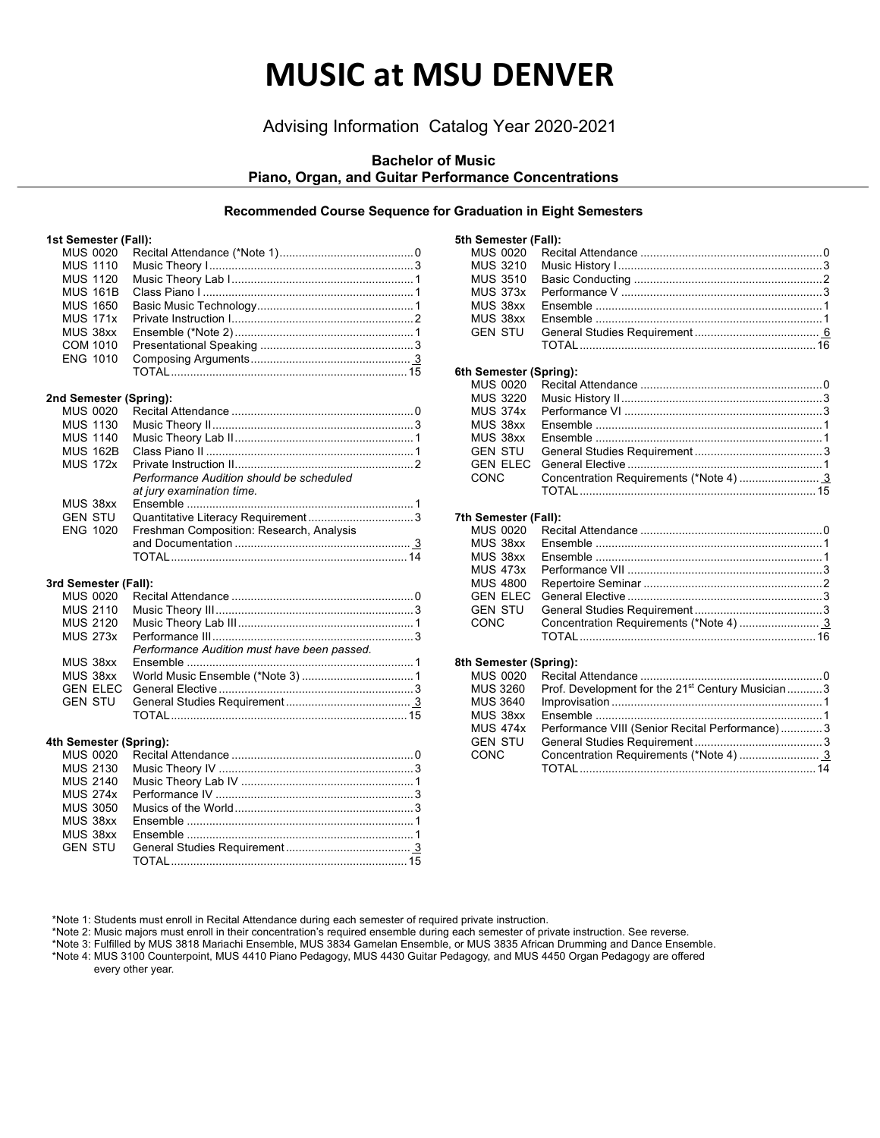# **MUSIC at MSU DENVER**

## Advising Information Catalog Year 2020-2021

## **Bachelor of Music Piano, Organ, and Guitar Performance Concentrations**

#### **Recommended Course Sequence for Graduation in Eight Semesters**

#### **1st Semester (Fall):**

| <b>MUS 0020</b><br><b>MUS 1110</b><br><b>MUS 1120</b><br><b>MUS 161B</b><br><b>MUS 1650</b><br><b>MUS 171x</b><br>MUS 38xx<br><b>COM 1010</b><br><b>ENG 1010</b> |                                             |
|------------------------------------------------------------------------------------------------------------------------------------------------------------------|---------------------------------------------|
| 2nd Semester (Spring):                                                                                                                                           |                                             |
| <b>MUS 0020</b>                                                                                                                                                  |                                             |
| <b>MUS 1130</b>                                                                                                                                                  |                                             |
| <b>MUS 1140</b>                                                                                                                                                  |                                             |
| <b>MUS 162B</b>                                                                                                                                                  |                                             |
| <b>MUS 172x</b>                                                                                                                                                  |                                             |
|                                                                                                                                                                  | Performance Audition should be scheduled    |
|                                                                                                                                                                  | at jury examination time.                   |
| MUS 38xx                                                                                                                                                         |                                             |
| <b>GEN STU</b><br><b>ENG 1020</b>                                                                                                                                |                                             |
|                                                                                                                                                                  | Freshman Composition: Research, Analysis    |
|                                                                                                                                                                  |                                             |
|                                                                                                                                                                  |                                             |
| 3rd Semester (Fall):                                                                                                                                             |                                             |
| <b>MUS 0020</b>                                                                                                                                                  |                                             |
| <b>MUS 2110</b>                                                                                                                                                  |                                             |
| <b>MUS 2120</b>                                                                                                                                                  |                                             |
| <b>MUS 273x</b>                                                                                                                                                  |                                             |
|                                                                                                                                                                  | Performance Audition must have been passed. |
| MUS 38xx                                                                                                                                                         |                                             |
| MUS 38xx                                                                                                                                                         |                                             |
| <b>GEN ELEC</b><br><b>GEN STU</b>                                                                                                                                |                                             |
|                                                                                                                                                                  |                                             |
|                                                                                                                                                                  |                                             |
| 4th Semester (Spring):                                                                                                                                           |                                             |
| <b>MUS 0020</b>                                                                                                                                                  |                                             |
| <b>MUS 2130</b>                                                                                                                                                  |                                             |
| <b>MUS 2140</b>                                                                                                                                                  |                                             |
| <b>MUS 274x</b>                                                                                                                                                  |                                             |
| <b>MUS 3050</b>                                                                                                                                                  |                                             |
| MUS 38xx                                                                                                                                                         |                                             |

MUS 38xx Ensemble .......................................................................1

GEN STU General Studies Requirement ....................................... 3 TOTAL..........................................................................15

| 5th Semester (Fall):   |                                  |  |
|------------------------|----------------------------------|--|
| MUS 0020               |                                  |  |
| <b>MUS 3210</b>        |                                  |  |
| <b>MUS 3510</b>        |                                  |  |
| <b>MUS 373x</b>        |                                  |  |
| MUS 38xx               |                                  |  |
| MUS 38xx               |                                  |  |
| <b>GEN STU</b>         |                                  |  |
|                        |                                  |  |
|                        |                                  |  |
| 6th Semester (Spring): |                                  |  |
| <b>MUS 0020</b>        |                                  |  |
| <b>MUS 3220</b>        |                                  |  |
| <b>MUS 374x</b>        |                                  |  |
| MUS 38xx               |                                  |  |
| MUS 38xx               |                                  |  |
| <b>GEN STU</b>         |                                  |  |
| <b>GEN ELEC</b>        |                                  |  |
| CONC                   |                                  |  |
|                        |                                  |  |
| 7th Semester (Fall):   |                                  |  |
| <b>MUS 0020</b>        |                                  |  |
| MUS 38xx               |                                  |  |
| MUS 38xx               |                                  |  |
| <b>MUS 473x</b>        |                                  |  |
| <b>MIIS 4800</b>       | <b>Departeire Seminar</b> (1996) |  |

## **8th Semester (Spring):**

| <b>MUS 0020</b> |                                                               |  |
|-----------------|---------------------------------------------------------------|--|
| <b>MUS 3260</b> | Prof. Development for the 21 <sup>st</sup> Century Musician 3 |  |
| <b>MUS 3640</b> |                                                               |  |
| MUS 38xx        |                                                               |  |
| <b>MUS 474x</b> | Performance VIII (Senior Recital Performance)3                |  |
| <b>GEN STU</b>  |                                                               |  |
| CONC            |                                                               |  |
|                 |                                                               |  |
|                 |                                                               |  |

\*Note 1: Students must enroll in Recital Attendance during each semester of required private instruction.

\*Note 2: Music majors must enroll in their concentration's required ensemble during each semester of private instruction. See reverse.

\*Note 3: Fulfilled by MUS 3818 Mariachi Ensemble, MUS 3834 Gamelan Ensemble, or MUS 3835 African Drumming and Dance Ensemble. \*Note 4: MUS 3100 Counterpoint, MUS 4410 Piano Pedagogy, MUS 4430 Guitar Pedagogy, and MUS 4450 Organ Pedagogy are offered

every other year.